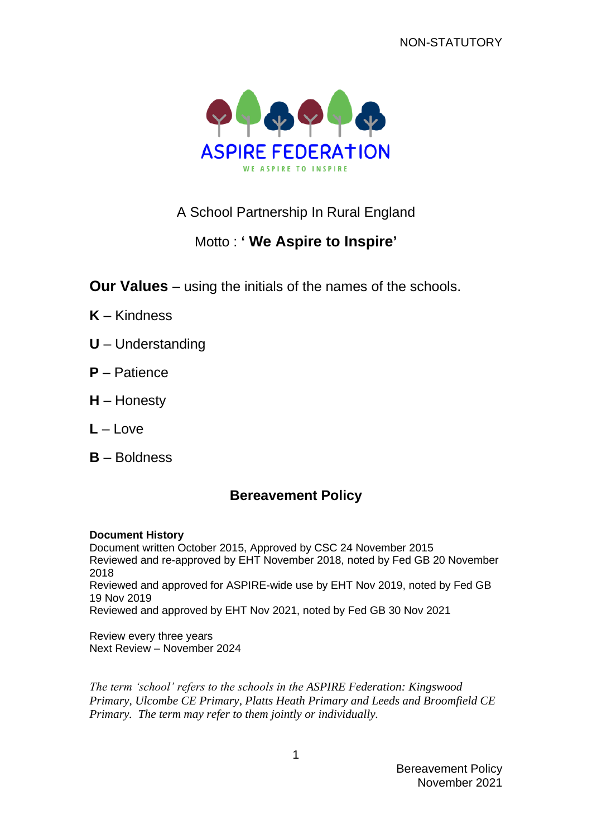

# A School Partnership In Rural England

# Motto : **' We Aspire to Inspire'**

**Our Values** – using the initials of the names of the schools.

- **K** Kindness
- **U** Understanding
- **P** Patience
- **H** Honesty
- **L** Love
- **B** Boldness

# **Bereavement Policy**

#### **Document History**

Document written October 2015, Approved by CSC 24 November 2015 Reviewed and re-approved by EHT November 2018, noted by Fed GB 20 November 2018 Reviewed and approved for ASPIRE-wide use by EHT Nov 2019, noted by Fed GB 19 Nov 2019 Reviewed and approved by EHT Nov 2021, noted by Fed GB 30 Nov 2021

Review every three years Next Review – November 2024

*The term 'school' refers to the schools in the ASPIRE Federation: Kingswood Primary, Ulcombe CE Primary, Platts Heath Primary and Leeds and Broomfield CE Primary. The term may refer to them jointly or individually.*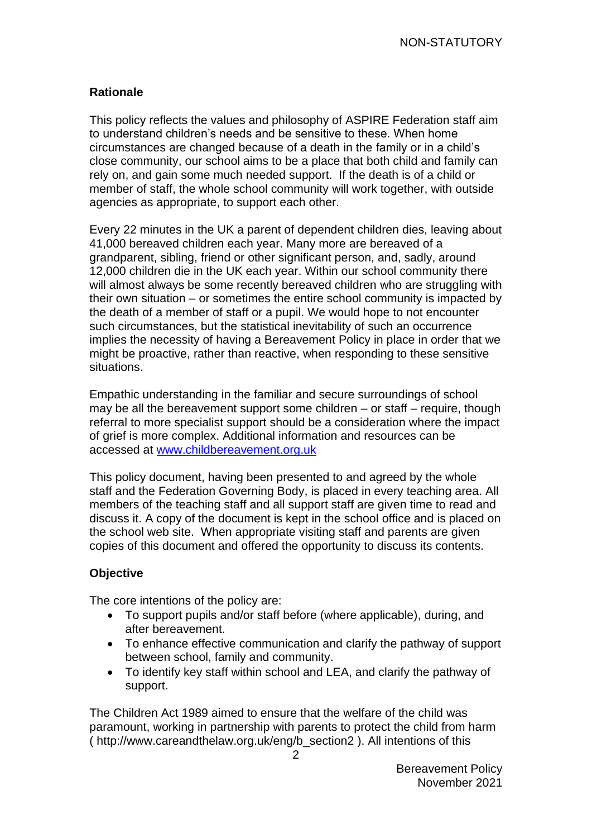## **Rationale**

This policy reflects the values and philosophy of ASPIRE Federation staff aim to understand children's needs and be sensitive to these. When home circumstances are changed because of a death in the family or in a child's close community, our school aims to be a place that both child and family can rely on, and gain some much needed support. If the death is of a child or member of staff, the whole school community will work together, with outside agencies as appropriate, to support each other.

Every 22 minutes in the UK a parent of dependent children dies, leaving about 41,000 bereaved children each year. Many more are bereaved of a grandparent, sibling, friend or other significant person, and, sadly, around 12,000 children die in the UK each year. Within our school community there will almost always be some recently bereaved children who are struggling with their own situation – or sometimes the entire school community is impacted by the death of a member of staff or a pupil. We would hope to not encounter such circumstances, but the statistical inevitability of such an occurrence implies the necessity of having a Bereavement Policy in place in order that we might be proactive, rather than reactive, when responding to these sensitive situations.

Empathic understanding in the familiar and secure surroundings of school may be all the bereavement support some children – or staff – require, though referral to more specialist support should be a consideration where the impact of grief is more complex. Additional information and resources can be accessed at [www.childbereavement.org.uk](http://www.childbereavement.org.uk/)

This policy document, having been presented to and agreed by the whole staff and the Federation Governing Body, is placed in every teaching area. All members of the teaching staff and all support staff are given time to read and discuss it. A copy of the document is kept in the school office and is placed on the school web site. When appropriate visiting staff and parents are given copies of this document and offered the opportunity to discuss its contents.

# **Objective**

The core intentions of the policy are:

- To support pupils and/or staff before (where applicable), during, and after bereavement.
- To enhance effective communication and clarify the pathway of support between school, family and community.
- To identify key staff within school and LEA, and clarify the pathway of support.

The Children Act 1989 aimed to ensure that the welfare of the child was paramount, working in partnership with parents to protect the child from harm ( http://www.careandthelaw.org.uk/eng/b\_section2 ). All intentions of this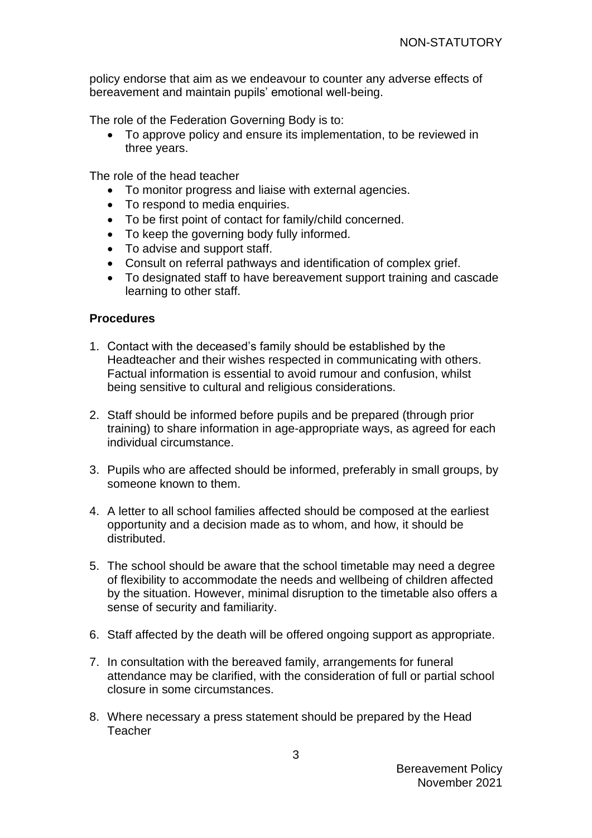policy endorse that aim as we endeavour to counter any adverse effects of bereavement and maintain pupils' emotional well-being.

The role of the Federation Governing Body is to:

• To approve policy and ensure its implementation, to be reviewed in three years.

The role of the head teacher

- To monitor progress and liaise with external agencies.
- To respond to media enquiries.
- To be first point of contact for family/child concerned.
- To keep the governing body fully informed.
- To advise and support staff.
- Consult on referral pathways and identification of complex grief.
- To designated staff to have bereavement support training and cascade learning to other staff.

#### **Procedures**

- 1. Contact with the deceased's family should be established by the Headteacher and their wishes respected in communicating with others. Factual information is essential to avoid rumour and confusion, whilst being sensitive to cultural and religious considerations.
- 2. Staff should be informed before pupils and be prepared (through prior training) to share information in age-appropriate ways, as agreed for each individual circumstance.
- 3. Pupils who are affected should be informed, preferably in small groups, by someone known to them.
- 4. A letter to all school families affected should be composed at the earliest opportunity and a decision made as to whom, and how, it should be distributed.
- 5. The school should be aware that the school timetable may need a degree of flexibility to accommodate the needs and wellbeing of children affected by the situation. However, minimal disruption to the timetable also offers a sense of security and familiarity.
- 6. Staff affected by the death will be offered ongoing support as appropriate.
- 7. In consultation with the bereaved family, arrangements for funeral attendance may be clarified, with the consideration of full or partial school closure in some circumstances.
- 8. Where necessary a press statement should be prepared by the Head **Teacher**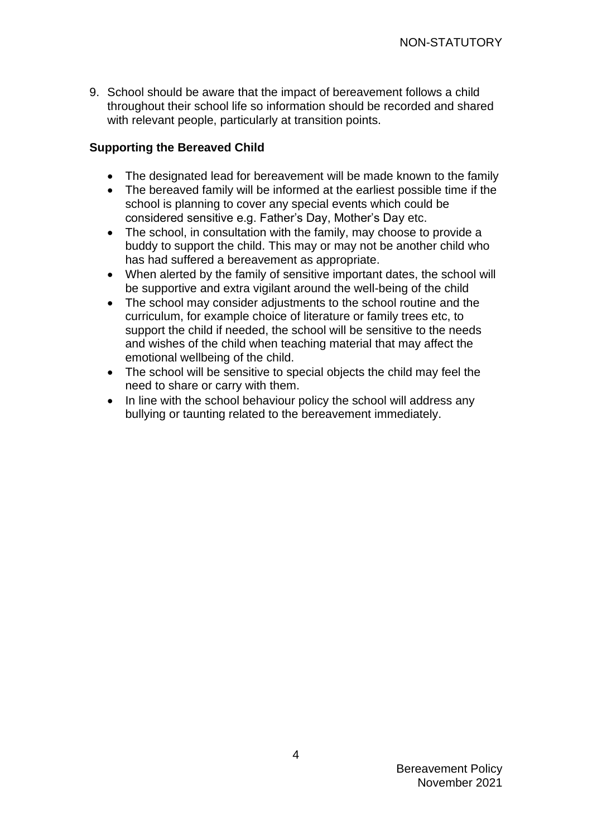9. School should be aware that the impact of bereavement follows a child throughout their school life so information should be recorded and shared with relevant people, particularly at transition points.

### **Supporting the Bereaved Child**

- The designated lead for bereavement will be made known to the family
- The bereaved family will be informed at the earliest possible time if the school is planning to cover any special events which could be considered sensitive e.g. Father's Day, Mother's Day etc.
- The school, in consultation with the family, may choose to provide a buddy to support the child. This may or may not be another child who has had suffered a bereavement as appropriate.
- When alerted by the family of sensitive important dates, the school will be supportive and extra vigilant around the well-being of the child
- The school may consider adjustments to the school routine and the curriculum, for example choice of literature or family trees etc, to support the child if needed, the school will be sensitive to the needs and wishes of the child when teaching material that may affect the emotional wellbeing of the child.
- The school will be sensitive to special objects the child may feel the need to share or carry with them.
- In line with the school behaviour policy the school will address any bullying or taunting related to the bereavement immediately.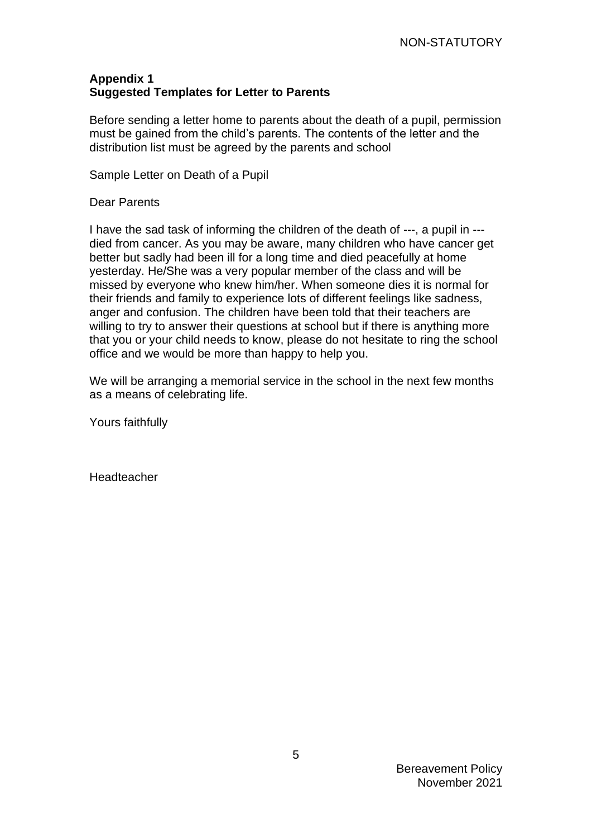## **Appendix 1 Suggested Templates for Letter to Parents**

Before sending a letter home to parents about the death of a pupil, permission must be gained from the child's parents. The contents of the letter and the distribution list must be agreed by the parents and school

Sample Letter on Death of a Pupil

Dear Parents

I have the sad task of informing the children of the death of ---, a pupil in -- died from cancer. As you may be aware, many children who have cancer get better but sadly had been ill for a long time and died peacefully at home yesterday. He/She was a very popular member of the class and will be missed by everyone who knew him/her. When someone dies it is normal for their friends and family to experience lots of different feelings like sadness, anger and confusion. The children have been told that their teachers are willing to try to answer their questions at school but if there is anything more that you or your child needs to know, please do not hesitate to ring the school office and we would be more than happy to help you.

We will be arranging a memorial service in the school in the next few months as a means of celebrating life.

Yours faithfully

Headteacher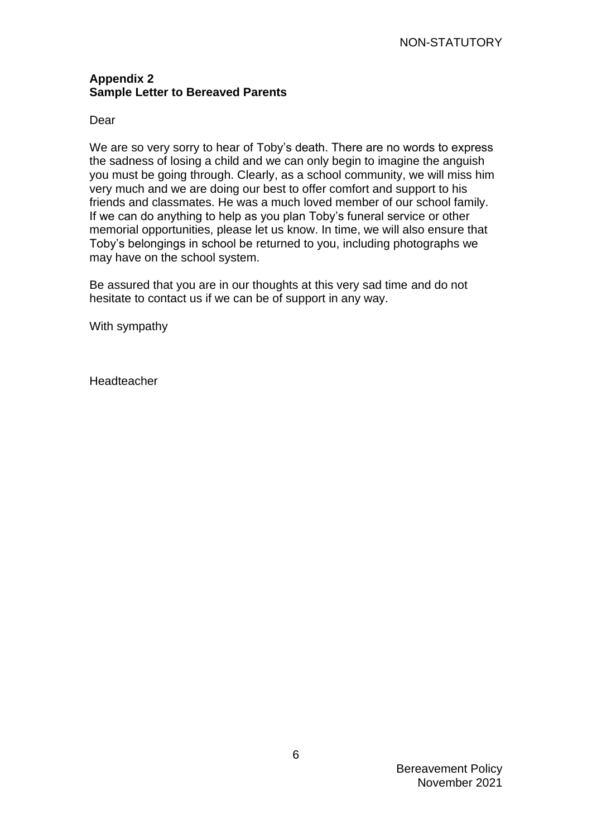### **Appendix 2 Sample Letter to Bereaved Parents**

#### Dear

We are so very sorry to hear of Toby's death. There are no words to express the sadness of losing a child and we can only begin to imagine the anguish you must be going through. Clearly, as a school community, we will miss him very much and we are doing our best to offer comfort and support to his friends and classmates. He was a much loved member of our school family. If we can do anything to help as you plan Toby's funeral service or other memorial opportunities, please let us know. In time, we will also ensure that Toby's belongings in school be returned to you, including photographs we may have on the school system.

Be assured that you are in our thoughts at this very sad time and do not hesitate to contact us if we can be of support in any way.

With sympathy

**Headteacher**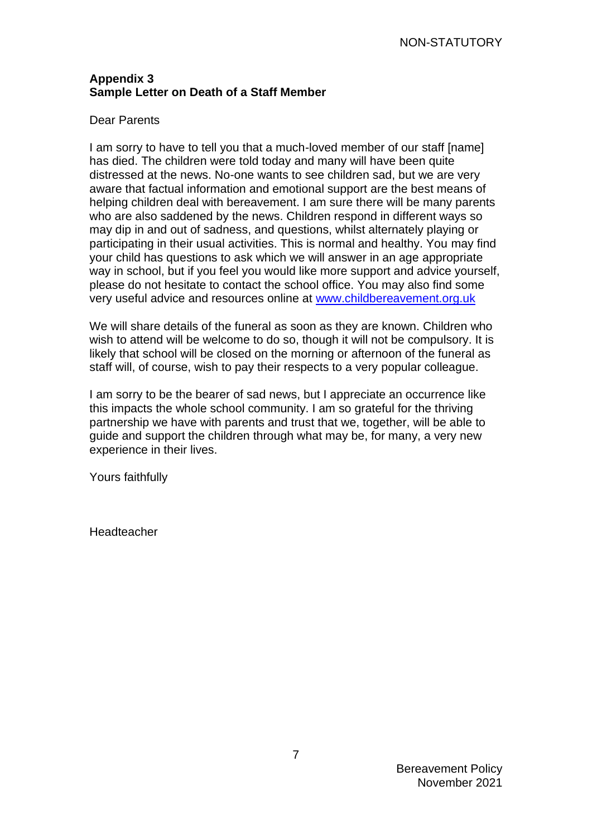### **Appendix 3 Sample Letter on Death of a Staff Member**

#### Dear Parents

I am sorry to have to tell you that a much-loved member of our staff [name] has died. The children were told today and many will have been quite distressed at the news. No-one wants to see children sad, but we are very aware that factual information and emotional support are the best means of helping children deal with bereavement. I am sure there will be many parents who are also saddened by the news. Children respond in different ways so may dip in and out of sadness, and questions, whilst alternately playing or participating in their usual activities. This is normal and healthy. You may find your child has questions to ask which we will answer in an age appropriate way in school, but if you feel you would like more support and advice yourself, please do not hesitate to contact the school office. You may also find some very useful advice and resources online at [www.childbereavement.org.uk](http://www.childbereavement.org.uk/)

We will share details of the funeral as soon as they are known. Children who wish to attend will be welcome to do so, though it will not be compulsory. It is likely that school will be closed on the morning or afternoon of the funeral as staff will, of course, wish to pay their respects to a very popular colleague.

I am sorry to be the bearer of sad news, but I appreciate an occurrence like this impacts the whole school community. I am so grateful for the thriving partnership we have with parents and trust that we, together, will be able to guide and support the children through what may be, for many, a very new experience in their lives.

Yours faithfully

**Headteacher**